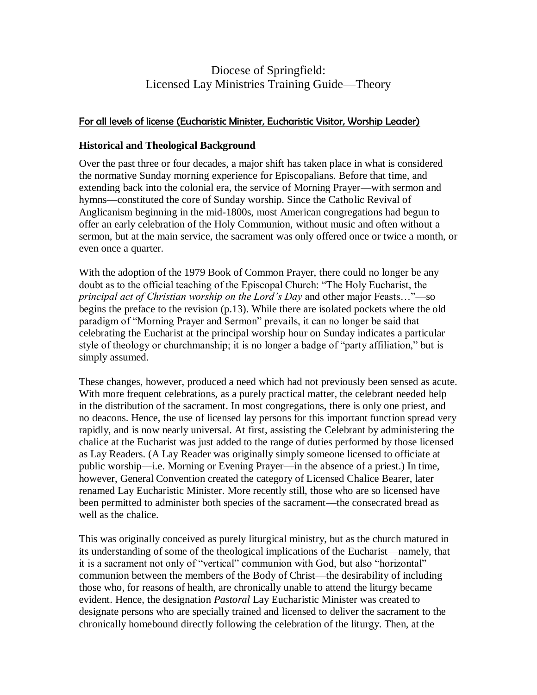# Diocese of Springfield: Licensed Lay Ministries Training Guide—Theory

# For all levels of license (Eucharistic Minister, Eucharistic Visitor, Worship Leader)

## **Historical and Theological Background**

Over the past three or four decades, a major shift has taken place in what is considered the normative Sunday morning experience for Episcopalians. Before that time, and extending back into the colonial era, the service of Morning Prayer—with sermon and hymns—constituted the core of Sunday worship. Since the Catholic Revival of Anglicanism beginning in the mid-1800s, most American congregations had begun to offer an early celebration of the Holy Communion, without music and often without a sermon, but at the main service, the sacrament was only offered once or twice a month, or even once a quarter.

With the adoption of the 1979 Book of Common Prayer, there could no longer be any doubt as to the official teaching of the Episcopal Church: "The Holy Eucharist, the *principal act of Christian worship on the Lord's Day* and other major Feasts…"—so begins the preface to the revision (p.13). While there are isolated pockets where the old paradigm of "Morning Prayer and Sermon" prevails, it can no longer be said that celebrating the Eucharist at the principal worship hour on Sunday indicates a particular style of theology or churchmanship; it is no longer a badge of "party affiliation," but is simply assumed.

These changes, however, produced a need which had not previously been sensed as acute. With more frequent celebrations, as a purely practical matter, the celebrant needed help in the distribution of the sacrament. In most congregations, there is only one priest, and no deacons. Hence, the use of licensed lay persons for this important function spread very rapidly, and is now nearly universal. At first, assisting the Celebrant by administering the chalice at the Eucharist was just added to the range of duties performed by those licensed as Lay Readers. (A Lay Reader was originally simply someone licensed to officiate at public worship—i.e. Morning or Evening Prayer—in the absence of a priest.) In time, however, General Convention created the category of Licensed Chalice Bearer, later renamed Lay Eucharistic Minister. More recently still, those who are so licensed have been permitted to administer both species of the sacrament—the consecrated bread as well as the chalice.

This was originally conceived as purely liturgical ministry, but as the church matured in its understanding of some of the theological implications of the Eucharist—namely, that it is a sacrament not only of "vertical" communion with God, but also "horizontal" communion between the members of the Body of Christ—the desirability of including those who, for reasons of health, are chronically unable to attend the liturgy became evident. Hence, the designation *Pastoral* Lay Eucharistic Minister was created to designate persons who are specially trained and licensed to deliver the sacrament to the chronically homebound directly following the celebration of the liturgy. Then, at the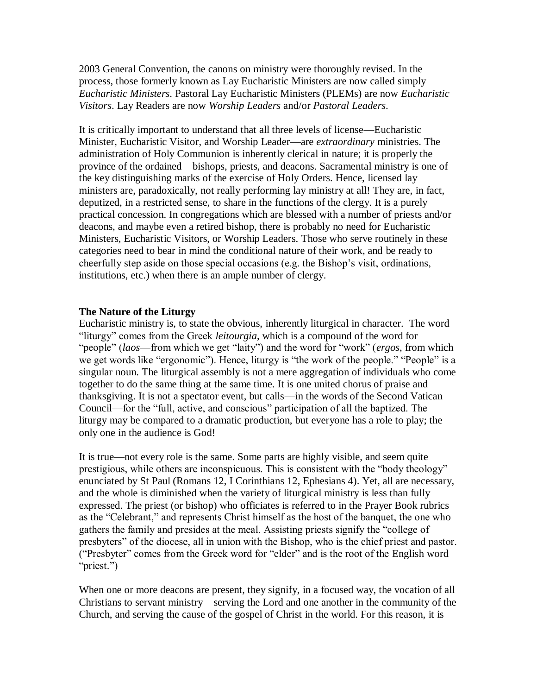2003 General Convention, the canons on ministry were thoroughly revised. In the process, those formerly known as Lay Eucharistic Ministers are now called simply *Eucharistic Ministers*. Pastoral Lay Eucharistic Ministers (PLEMs) are now *Eucharistic Visitors*. Lay Readers are now *Worship Leaders* and/or *Pastoral Leaders*.

It is critically important to understand that all three levels of license—Eucharistic Minister, Eucharistic Visitor, and Worship Leader—are *extraordinary* ministries. The administration of Holy Communion is inherently clerical in nature; it is properly the province of the ordained—bishops, priests, and deacons. Sacramental ministry is one of the key distinguishing marks of the exercise of Holy Orders. Hence, licensed lay ministers are, paradoxically, not really performing lay ministry at all! They are, in fact, deputized, in a restricted sense, to share in the functions of the clergy. It is a purely practical concession. In congregations which are blessed with a number of priests and/or deacons, and maybe even a retired bishop, there is probably no need for Eucharistic Ministers, Eucharistic Visitors, or Worship Leaders. Those who serve routinely in these categories need to bear in mind the conditional nature of their work, and be ready to cheerfully step aside on those special occasions (e.g. the Bishop's visit, ordinations, institutions, etc.) when there is an ample number of clergy.

#### **The Nature of the Liturgy**

Eucharistic ministry is, to state the obvious, inherently liturgical in character. The word "liturgy" comes from the Greek *leitourgia*, which is a compound of the word for "people" (*laos*—from which we get "laity") and the word for "work" (*ergos*, from which we get words like "ergonomic"). Hence, liturgy is "the work of the people." "People" is a singular noun. The liturgical assembly is not a mere aggregation of individuals who come together to do the same thing at the same time. It is one united chorus of praise and thanksgiving. It is not a spectator event, but calls—in the words of the Second Vatican Council—for the "full, active, and conscious" participation of all the baptized. The liturgy may be compared to a dramatic production, but everyone has a role to play; the only one in the audience is God!

It is true—not every role is the same. Some parts are highly visible, and seem quite prestigious, while others are inconspicuous. This is consistent with the "body theology" enunciated by St Paul (Romans 12, I Corinthians 12, Ephesians 4). Yet, all are necessary, and the whole is diminished when the variety of liturgical ministry is less than fully expressed. The priest (or bishop) who officiates is referred to in the Prayer Book rubrics as the "Celebrant," and represents Christ himself as the host of the banquet, the one who gathers the family and presides at the meal. Assisting priests signify the "college of presbyters" of the diocese, all in union with the Bishop, who is the chief priest and pastor. ("Presbyter" comes from the Greek word for "elder" and is the root of the English word "priest.")

When one or more deacons are present, they signify, in a focused way, the vocation of all Christians to servant ministry—serving the Lord and one another in the community of the Church, and serving the cause of the gospel of Christ in the world. For this reason, it is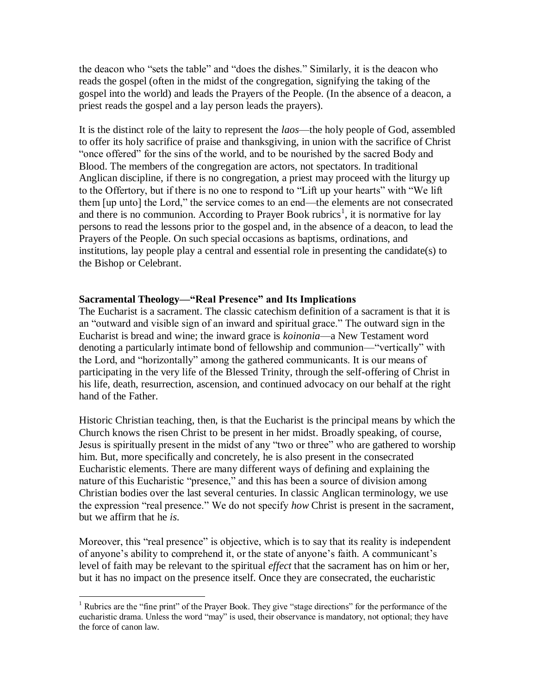the deacon who "sets the table" and "does the dishes." Similarly, it is the deacon who reads the gospel (often in the midst of the congregation, signifying the taking of the gospel into the world) and leads the Prayers of the People. (In the absence of a deacon, a priest reads the gospel and a lay person leads the prayers).

It is the distinct role of the laity to represent the *laos*—the holy people of God, assembled to offer its holy sacrifice of praise and thanksgiving, in union with the sacrifice of Christ "once offered" for the sins of the world, and to be nourished by the sacred Body and Blood. The members of the congregation are actors, not spectators. In traditional Anglican discipline, if there is no congregation, a priest may proceed with the liturgy up to the Offertory, but if there is no one to respond to "Lift up your hearts" with "We lift them [up unto] the Lord," the service comes to an end—the elements are not consecrated and there is no communion. According to Prayer Book rubrics<sup>1</sup>, it is normative for lay persons to read the lessons prior to the gospel and, in the absence of a deacon, to lead the Prayers of the People. On such special occasions as baptisms, ordinations, and institutions, lay people play a central and essential role in presenting the candidate(s) to the Bishop or Celebrant.

## **Sacramental Theology—"Real Presence" and Its Implications**

The Eucharist is a sacrament. The classic catechism definition of a sacrament is that it is an "outward and visible sign of an inward and spiritual grace." The outward sign in the Eucharist is bread and wine; the inward grace is *koinonia*—a New Testament word denoting a particularly intimate bond of fellowship and communion—"vertically" with the Lord, and "horizontally" among the gathered communicants. It is our means of participating in the very life of the Blessed Trinity, through the self-offering of Christ in his life, death, resurrection, ascension, and continued advocacy on our behalf at the right hand of the Father.

Historic Christian teaching, then, is that the Eucharist is the principal means by which the Church knows the risen Christ to be present in her midst. Broadly speaking, of course, Jesus is spiritually present in the midst of any "two or three" who are gathered to worship him. But, more specifically and concretely, he is also present in the consecrated Eucharistic elements. There are many different ways of defining and explaining the nature of this Eucharistic "presence," and this has been a source of division among Christian bodies over the last several centuries. In classic Anglican terminology, we use the expression "real presence." We do not specify *how* Christ is present in the sacrament, but we affirm that he *is*.

Moreover, this "real presence" is objective, which is to say that its reality is independent of anyone's ability to comprehend it, or the state of anyone's faith. A communicant's level of faith may be relevant to the spiritual *effect* that the sacrament has on him or her, but it has no impact on the presence itself. Once they are consecrated, the eucharistic

 $\overline{a}$ <sup>1</sup> Rubrics are the "fine print" of the Prayer Book. They give "stage directions" for the performance of the eucharistic drama. Unless the word "may" is used, their observance is mandatory, not optional; they have the force of canon law.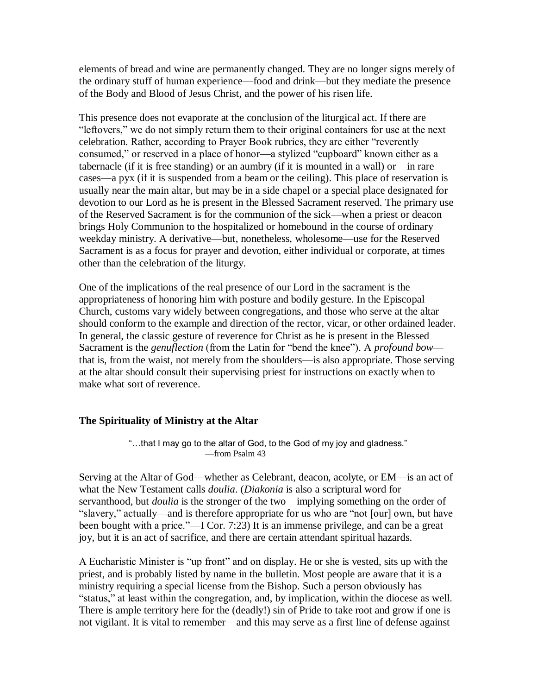elements of bread and wine are permanently changed. They are no longer signs merely of the ordinary stuff of human experience—food and drink—but they mediate the presence of the Body and Blood of Jesus Christ, and the power of his risen life.

This presence does not evaporate at the conclusion of the liturgical act. If there are "leftovers," we do not simply return them to their original containers for use at the next celebration. Rather, according to Prayer Book rubrics, they are either "reverently consumed," or reserved in a place of honor—a stylized "cupboard" known either as a tabernacle (if it is free standing) or an aumbry (if it is mounted in a wall) or—in rare cases—a pyx (if it is suspended from a beam or the ceiling). This place of reservation is usually near the main altar, but may be in a side chapel or a special place designated for devotion to our Lord as he is present in the Blessed Sacrament reserved. The primary use of the Reserved Sacrament is for the communion of the sick—when a priest or deacon brings Holy Communion to the hospitalized or homebound in the course of ordinary weekday ministry. A derivative—but, nonetheless, wholesome—use for the Reserved Sacrament is as a focus for prayer and devotion, either individual or corporate, at times other than the celebration of the liturgy.

One of the implications of the real presence of our Lord in the sacrament is the appropriateness of honoring him with posture and bodily gesture. In the Episcopal Church, customs vary widely between congregations, and those who serve at the altar should conform to the example and direction of the rector, vicar, or other ordained leader. In general, the classic gesture of reverence for Christ as he is present in the Blessed Sacrament is the *genuflection* (from the Latin for "bend the knee"). A *profound bow* that is, from the waist, not merely from the shoulders—is also appropriate. Those serving at the altar should consult their supervising priest for instructions on exactly when to make what sort of reverence.

# **The Spirituality of Ministry at the Altar**

"…that I may go to the altar of God, to the God of my joy and gladness." —from Psalm 43

Serving at the Altar of God—whether as Celebrant, deacon, acolyte, or EM—is an act of what the New Testament calls *doulia*. (*Diakonia* is also a scriptural word for servanthood, but *doulia* is the stronger of the two—implying something on the order of "slavery," actually—and is therefore appropriate for us who are "not [our] own, but have been bought with a price."—I Cor. 7:23) It is an immense privilege, and can be a great joy, but it is an act of sacrifice, and there are certain attendant spiritual hazards.

A Eucharistic Minister is "up front" and on display. He or she is vested, sits up with the priest, and is probably listed by name in the bulletin. Most people are aware that it is a ministry requiring a special license from the Bishop. Such a person obviously has "status," at least within the congregation, and, by implication, within the diocese as well. There is ample territory here for the (deadly!) sin of Pride to take root and grow if one is not vigilant. It is vital to remember—and this may serve as a first line of defense against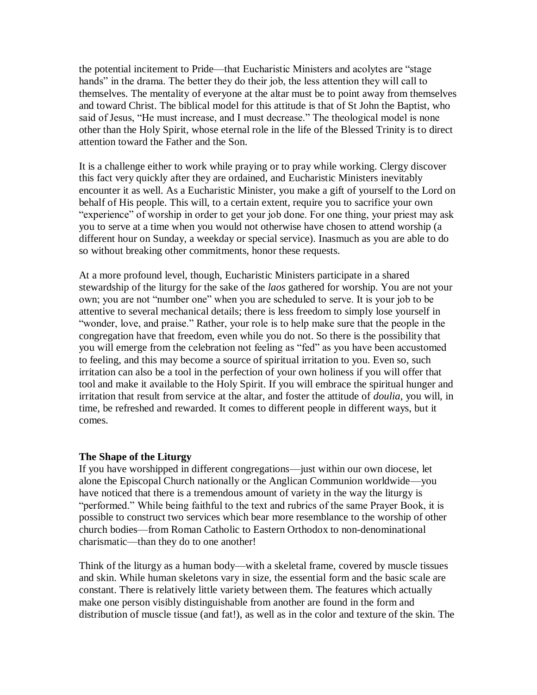the potential incitement to Pride—that Eucharistic Ministers and acolytes are "stage hands" in the drama. The better they do their job, the less attention they will call to themselves. The mentality of everyone at the altar must be to point away from themselves and toward Christ. The biblical model for this attitude is that of St John the Baptist, who said of Jesus, "He must increase, and I must decrease." The theological model is none other than the Holy Spirit, whose eternal role in the life of the Blessed Trinity is to direct attention toward the Father and the Son.

It is a challenge either to work while praying or to pray while working. Clergy discover this fact very quickly after they are ordained, and Eucharistic Ministers inevitably encounter it as well. As a Eucharistic Minister, you make a gift of yourself to the Lord on behalf of His people. This will, to a certain extent, require you to sacrifice your own "experience" of worship in order to get your job done. For one thing, your priest may ask you to serve at a time when you would not otherwise have chosen to attend worship (a different hour on Sunday, a weekday or special service). Inasmuch as you are able to do so without breaking other commitments, honor these requests.

At a more profound level, though, Eucharistic Ministers participate in a shared stewardship of the liturgy for the sake of the *laos* gathered for worship. You are not your own; you are not "number one" when you are scheduled to serve. It is your job to be attentive to several mechanical details; there is less freedom to simply lose yourself in "wonder, love, and praise." Rather, your role is to help make sure that the people in the congregation have that freedom, even while you do not. So there is the possibility that you will emerge from the celebration not feeling as "fed" as you have been accustomed to feeling, and this may become a source of spiritual irritation to you. Even so, such irritation can also be a tool in the perfection of your own holiness if you will offer that tool and make it available to the Holy Spirit. If you will embrace the spiritual hunger and irritation that result from service at the altar, and foster the attitude of *doulia*, you will, in time, be refreshed and rewarded. It comes to different people in different ways, but it comes.

#### **The Shape of the Liturgy**

If you have worshipped in different congregations—just within our own diocese, let alone the Episcopal Church nationally or the Anglican Communion worldwide—you have noticed that there is a tremendous amount of variety in the way the liturgy is "performed." While being faithful to the text and rubrics of the same Prayer Book, it is possible to construct two services which bear more resemblance to the worship of other church bodies—from Roman Catholic to Eastern Orthodox to non-denominational charismatic—than they do to one another!

Think of the liturgy as a human body—with a skeletal frame, covered by muscle tissues and skin. While human skeletons vary in size, the essential form and the basic scale are constant. There is relatively little variety between them. The features which actually make one person visibly distinguishable from another are found in the form and distribution of muscle tissue (and fat!), as well as in the color and texture of the skin. The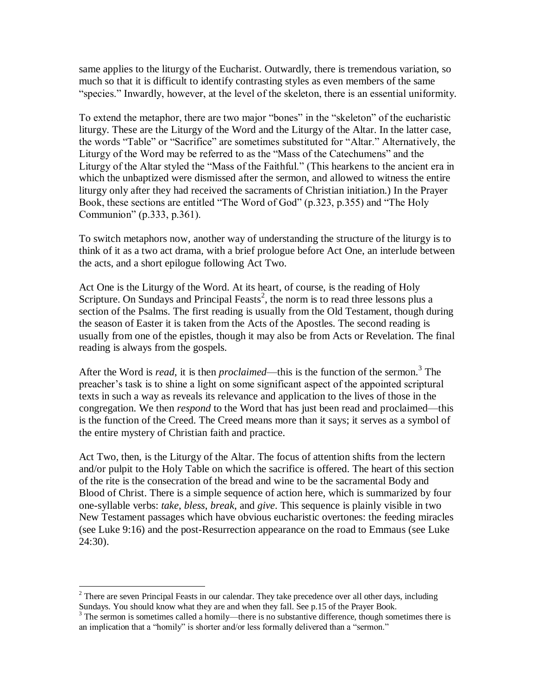same applies to the liturgy of the Eucharist. Outwardly, there is tremendous variation, so much so that it is difficult to identify contrasting styles as even members of the same "species." Inwardly, however, at the level of the skeleton, there is an essential uniformity.

To extend the metaphor, there are two major "bones" in the "skeleton" of the eucharistic liturgy. These are the Liturgy of the Word and the Liturgy of the Altar. In the latter case, the words "Table" or "Sacrifice" are sometimes substituted for "Altar." Alternatively, the Liturgy of the Word may be referred to as the "Mass of the Catechumens" and the Liturgy of the Altar styled the "Mass of the Faithful." (This hearkens to the ancient era in which the unbaptized were dismissed after the sermon, and allowed to witness the entire liturgy only after they had received the sacraments of Christian initiation.) In the Prayer Book, these sections are entitled "The Word of God" (p.323, p.355) and "The Holy Communion" (p.333, p.361).

To switch metaphors now, another way of understanding the structure of the liturgy is to think of it as a two act drama, with a brief prologue before Act One, an interlude between the acts, and a short epilogue following Act Two.

Act One is the Liturgy of the Word. At its heart, of course, is the reading of Holy Scripture. On Sundays and Principal Feasts<sup>2</sup>, the norm is to read three lessons plus a section of the Psalms. The first reading is usually from the Old Testament, though during the season of Easter it is taken from the Acts of the Apostles. The second reading is usually from one of the epistles, though it may also be from Acts or Revelation. The final reading is always from the gospels.

After the Word is *read*, it is then *proclaimed*—this is the function of the sermon.<sup>3</sup> The preacher's task is to shine a light on some significant aspect of the appointed scriptural texts in such a way as reveals its relevance and application to the lives of those in the congregation. We then *respond* to the Word that has just been read and proclaimed—this is the function of the Creed. The Creed means more than it says; it serves as a symbol of the entire mystery of Christian faith and practice.

Act Two, then, is the Liturgy of the Altar. The focus of attention shifts from the lectern and/or pulpit to the Holy Table on which the sacrifice is offered. The heart of this section of the rite is the consecration of the bread and wine to be the sacramental Body and Blood of Christ. There is a simple sequence of action here, which is summarized by four one-syllable verbs: *take*, *bless*, *break*, and *give*. This sequence is plainly visible in two New Testament passages which have obvious eucharistic overtones: the feeding miracles (see Luke 9:16) and the post-Resurrection appearance on the road to Emmaus (see Luke 24:30).

 $\overline{a}$ 

 $2$  There are seven Principal Feasts in our calendar. They take precedence over all other days, including Sundays. You should know what they are and when they fall. See p.15 of the Prayer Book.

 $3$  The sermon is sometimes called a homily—there is no substantive difference, though sometimes there is an implication that a "homily" is shorter and/or less formally delivered than a "sermon."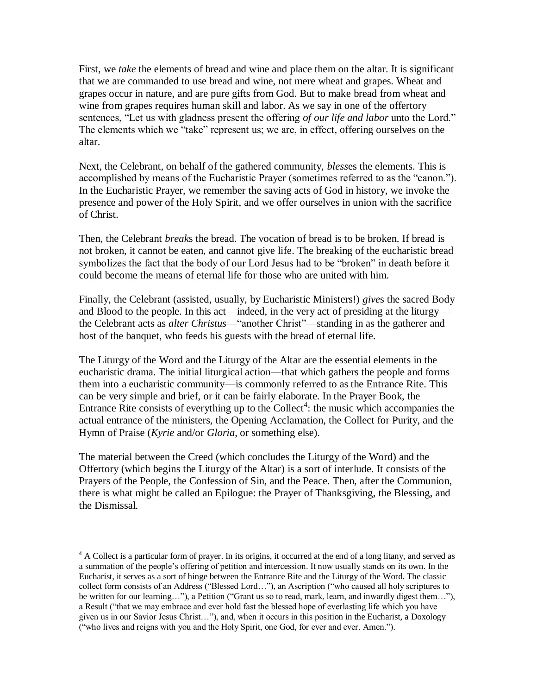First, we *take* the elements of bread and wine and place them on the altar. It is significant that we are commanded to use bread and wine, not mere wheat and grapes. Wheat and grapes occur in nature, and are pure gifts from God. But to make bread from wheat and wine from grapes requires human skill and labor. As we say in one of the offertory sentences, "Let us with gladness present the offering *of our life and labor* unto the Lord." The elements which we "take" represent us; we are, in effect, offering ourselves on the altar.

Next, the Celebrant, on behalf of the gathered community, *bless*es the elements. This is accomplished by means of the Eucharistic Prayer (sometimes referred to as the "canon."). In the Eucharistic Prayer, we remember the saving acts of God in history, we invoke the presence and power of the Holy Spirit, and we offer ourselves in union with the sacrifice of Christ.

Then, the Celebrant *break*s the bread. The vocation of bread is to be broken. If bread is not broken, it cannot be eaten, and cannot give life. The breaking of the eucharistic bread symbolizes the fact that the body of our Lord Jesus had to be "broken" in death before it could become the means of eternal life for those who are united with him.

Finally, the Celebrant (assisted, usually, by Eucharistic Ministers!) *give*s the sacred Body and Blood to the people. In this act—indeed, in the very act of presiding at the liturgy the Celebrant acts as *alter Christus*—"another Christ"—standing in as the gatherer and host of the banquet, who feeds his guests with the bread of eternal life.

The Liturgy of the Word and the Liturgy of the Altar are the essential elements in the eucharistic drama. The initial liturgical action—that which gathers the people and forms them into a eucharistic community—is commonly referred to as the Entrance Rite. This can be very simple and brief, or it can be fairly elaborate. In the Prayer Book, the Entrance Rite consists of everything up to the Collect<sup>4</sup>: the music which accompanies the actual entrance of the ministers, the Opening Acclamation, the Collect for Purity, and the Hymn of Praise (*Kyrie* and/or *Gloria*, or something else).

The material between the Creed (which concludes the Liturgy of the Word) and the Offertory (which begins the Liturgy of the Altar) is a sort of interlude. It consists of the Prayers of the People, the Confession of Sin, and the Peace. Then, after the Communion, there is what might be called an Epilogue: the Prayer of Thanksgiving, the Blessing, and the Dismissal.

 $\overline{a}$ 

<sup>&</sup>lt;sup>4</sup> A Collect is a particular form of prayer. In its origins, it occurred at the end of a long litany, and served as a summation of the people's offering of petition and intercession. It now usually stands on its own. In the Eucharist, it serves as a sort of hinge between the Entrance Rite and the Liturgy of the Word. The classic collect form consists of an Address ("Blessed Lord…"), an Ascription ("who caused all holy scriptures to be written for our learning…"), a Petition ("Grant us so to read, mark, learn, and inwardly digest them…"), a Result ("that we may embrace and ever hold fast the blessed hope of everlasting life which you have given us in our Savior Jesus Christ…"), and, when it occurs in this position in the Eucharist, a Doxology ("who lives and reigns with you and the Holy Spirit, one God, for ever and ever. Amen.").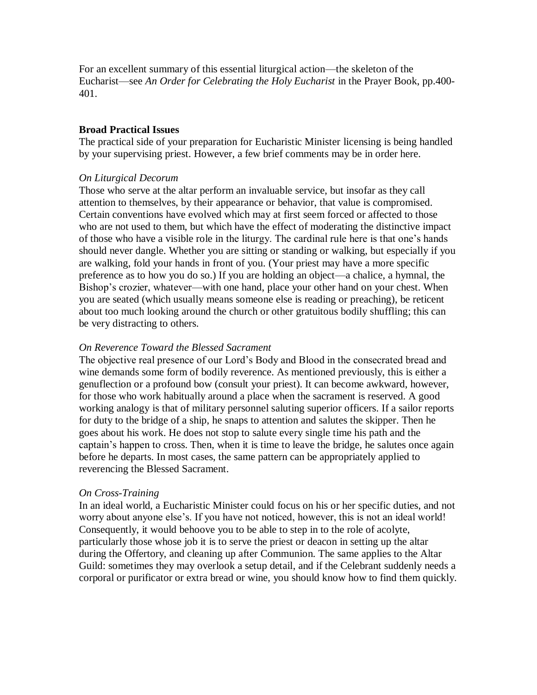For an excellent summary of this essential liturgical action—the skeleton of the Eucharist—see *An Order for Celebrating the Holy Eucharist* in the Prayer Book, pp.400- 401.

#### **Broad Practical Issues**

The practical side of your preparation for Eucharistic Minister licensing is being handled by your supervising priest. However, a few brief comments may be in order here.

## *On Liturgical Decorum*

Those who serve at the altar perform an invaluable service, but insofar as they call attention to themselves, by their appearance or behavior, that value is compromised. Certain conventions have evolved which may at first seem forced or affected to those who are not used to them, but which have the effect of moderating the distinctive impact of those who have a visible role in the liturgy. The cardinal rule here is that one's hands should never dangle. Whether you are sitting or standing or walking, but especially if you are walking, fold your hands in front of you. (Your priest may have a more specific preference as to how you do so.) If you are holding an object—a chalice, a hymnal, the Bishop's crozier, whatever—with one hand, place your other hand on your chest. When you are seated (which usually means someone else is reading or preaching), be reticent about too much looking around the church or other gratuitous bodily shuffling; this can be very distracting to others.

#### *On Reverence Toward the Blessed Sacrament*

The objective real presence of our Lord's Body and Blood in the consecrated bread and wine demands some form of bodily reverence. As mentioned previously, this is either a genuflection or a profound bow (consult your priest). It can become awkward, however, for those who work habitually around a place when the sacrament is reserved. A good working analogy is that of military personnel saluting superior officers. If a sailor reports for duty to the bridge of a ship, he snaps to attention and salutes the skipper. Then he goes about his work. He does not stop to salute every single time his path and the captain's happen to cross. Then, when it is time to leave the bridge, he salutes once again before he departs. In most cases, the same pattern can be appropriately applied to reverencing the Blessed Sacrament.

#### *On Cross-Training*

In an ideal world, a Eucharistic Minister could focus on his or her specific duties, and not worry about anyone else's. If you have not noticed, however, this is not an ideal world! Consequently, it would behoove you to be able to step in to the role of acolyte, particularly those whose job it is to serve the priest or deacon in setting up the altar during the Offertory, and cleaning up after Communion. The same applies to the Altar Guild: sometimes they may overlook a setup detail, and if the Celebrant suddenly needs a corporal or purificator or extra bread or wine, you should know how to find them quickly.